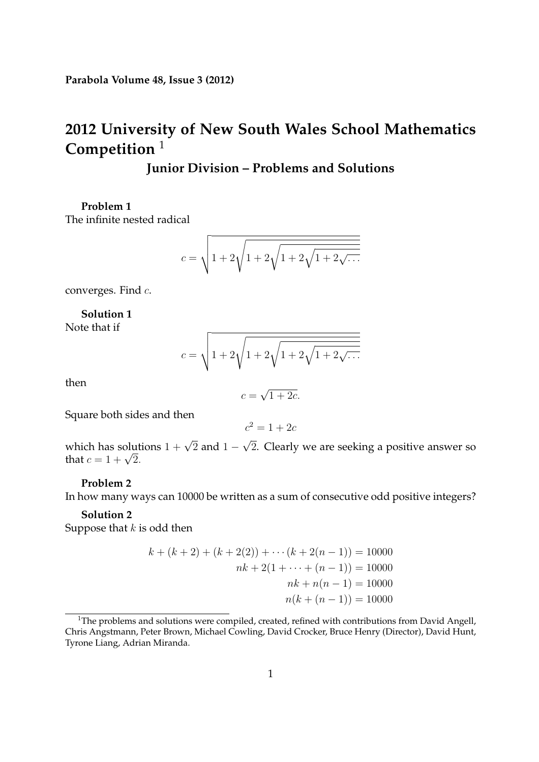# **2012 University of New South Wales School Mathematics Competition** <sup>1</sup>

# **Junior Division – Problems and Solutions**

**Problem 1** The infinite nested radical

$$
c = \sqrt{1 + 2\sqrt{1 + 2\sqrt{1 + 2\sqrt{1 + 2\sqrt{1 + 2\sqrt{1 + 2\sqrt{1 + 2\sqrt{1 + 2\sqrt{1 + 2\sqrt{1 + 2\sqrt{1 + 2\sqrt{1 + 2\sqrt{1 + 2\sqrt{1 + 2\sqrt{1 + 2\sqrt{1 + 2\sqrt{1 + 2\sqrt{1 + 2\sqrt{1 + 2\sqrt{1 + 2\sqrt{1 + 2\sqrt{1 + 2\sqrt{1 + 2\sqrt{1 + 2\sqrt{1 + 2\sqrt{1 + 2\sqrt{1 + 2\sqrt{1 + 2\sqrt{1 + 2\sqrt{1 + 2\sqrt{1 + 2\sqrt{1 + 2\sqrt{1 + 2\sqrt{1 + 2\sqrt{1 + 2\sqrt{1 + 2\sqrt{1 + 2\sqrt{1 + 2\sqrt{1 + 2\sqrt{1 + 2\sqrt{1 + 2\sqrt{1 + 2\sqrt{1 + 2\sqrt{1 + 2\sqrt{1 + 2\sqrt{1 + 2\sqrt{1 + 2\sqrt{1 + 2\sqrt{1 + 2\sqrt{1 + 2\sqrt{1 + 2\sqrt{1 + 2\sqrt{1 + 2\sqrt{1 + 2\sqrt{1 + 2\sqrt{1 + 2\sqrt{1 + 2\sqrt{1 + 2\sqrt{1 + 2\sqrt{1 + 2\sqrt{1 + 2\sqrt{1 + 2\sqrt{1 + 2\sqrt{1 + 2\sqrt{1 + 2\sqrt{1 + 2\sqrt{1 + 2\sqrt{1 + 2\sqrt{1 + 2\sqrt{1 + 2\sqrt{1 + 2\sqrt{1 + 2\sqrt{1 + 2\sqrt{1 + 2\sqrt{1 + 2\sqrt{1 + 2\sqrt{1 + 2\sqrt{1 + 2\sqrt{1 + 2\sqrt{1 + 2\sqrt{1 + 2\sqrt{1 + 2\sqrt{1 + 2\sqrt{1 + 2\sqrt{1 + 2\sqrt{1 + 2\sqrt{1 + 2\sqrt{1 + 2\sqrt{1 + 2\sqrt{1 + 2\sqrt{1 + 2\sqrt{1 + 2\sqrt{1 + 2\sqrt{1 + 2\sqrt{1 + 2\sqrt{1 + 2\sqrt{1 + 2\sqrt{1 + 2\sqrt{1 + 2\sqrt{1 + 2\sqrt{1 + 2\sqrt{1 + 2\sqrt{1 + 2\sqrt{1 + 2\sqrt{1 + 2\sqrt{1 + 2\sqrt{1 + 2\sqrt{1 + 2\
$$

converges. Find c.

**Solution 1** Note that if

$$
c = \sqrt{1 + 2\sqrt{1 + 2\sqrt{1 + 2\sqrt{1 + 2\sqrt{1 + 2\sqrt{1 + 2\sqrt{1 + 2\sqrt{1 + 2\sqrt{1 + 2\sqrt{1 + 2\sqrt{1 + 2\sqrt{1 + 2\sqrt{1 + 2\sqrt{1 + 2\sqrt{1 + 2\sqrt{1 + 2\sqrt{1 + 2\sqrt{1 + 2\sqrt{1 + 2\sqrt{1 + 2\sqrt{1 + 2\sqrt{1 + 2\sqrt{1 + 2\sqrt{1 + 2\sqrt{1 + 2\sqrt{1 + 2\sqrt{1 + 2\sqrt{1 + 2\sqrt{1 + 2\sqrt{1 + 2\sqrt{1 + 2\sqrt{1 + 2\sqrt{1 + 2\sqrt{1 + 2\sqrt{1 + 2\sqrt{1 + 2\sqrt{1 + 2\sqrt{1 + 2\sqrt{1 + 2\sqrt{1 + 2\sqrt{1 + 2\sqrt{1 + 2\sqrt{1 + 2\sqrt{1 + 2\sqrt{1 + 2\sqrt{1 + 2\sqrt{1 + 2\sqrt{1 + 2\sqrt{1 + 2\sqrt{1 + 2\sqrt{1 + 2\sqrt{1 + 2\sqrt{1 + 2\sqrt{1 + 2\sqrt{1 + 2\sqrt{1 + 2\sqrt{1 + 2\sqrt{1 + 2\sqrt{1 + 2\sqrt{1 + 2\sqrt{1 + 2\sqrt{1 + 2\sqrt{1 + 2\sqrt{1 + 2\sqrt{1 + 2\sqrt{1 + 2\sqrt{1 + 2\sqrt{1 + 2\sqrt{1 + 2\sqrt{1 + 2\sqrt{1 + 2\sqrt{1 + 2\sqrt{1 + 2\sqrt{1 + 2\sqrt{1 + 2\sqrt{1 + 2\sqrt{1 + 2\sqrt{1 + 2\sqrt{1 + 2\sqrt{1 + 2\sqrt{1 + 2\sqrt{1 + 2\sqrt{1 + 2\sqrt{1 + 2\sqrt{1 + 2\sqrt{1 + 2\sqrt{1 + 2\sqrt{1 + 2\sqrt{1 + 2\sqrt{1 + 2\sqrt{1 + 2\sqrt{1 + 2\sqrt{1 + 2\sqrt{1 + 2\sqrt{1 + 2\sqrt{1 + 2\sqrt{1 + 2\sqrt{1 + 2\sqrt{1 + 2\sqrt{1 + 2\sqrt{1 + 2\sqrt{1 + 2\sqrt{1 + 2\sqrt{1 + 2\sqrt{1 + 2\sqrt{1 + 2\sqrt{1 + 2\sqrt{1 + 2\
$$

then

$$
c = \sqrt{1 + 2c}.
$$

Square both sides and then

$$
c^2=1+2c
$$

which has solutions  $1 + \sqrt{2}$  and  $1 - \sqrt{2}$ . Clearly we are seeking a positive answer so that  $c = 1 + \sqrt{2}$ .

### **Problem 2**

In how many ways can 10000 be written as a sum of consecutive odd positive integers?

#### **Solution 2**

Suppose that  $k$  is odd then

$$
k + (k + 2) + (k + 2(2)) + \cdots (k + 2(n - 1)) = 10000
$$
  

$$
nk + 2(1 + \cdots + (n - 1)) = 10000
$$
  

$$
nk + n(n - 1) = 10000
$$
  

$$
n(k + (n - 1)) = 10000
$$

<sup>&</sup>lt;sup>1</sup>The problems and solutions were compiled, created, refined with contributions from David Angell, Chris Angstmann, Peter Brown, Michael Cowling, David Crocker, Bruce Henry (Director), David Hunt, Tyrone Liang, Adrian Miranda.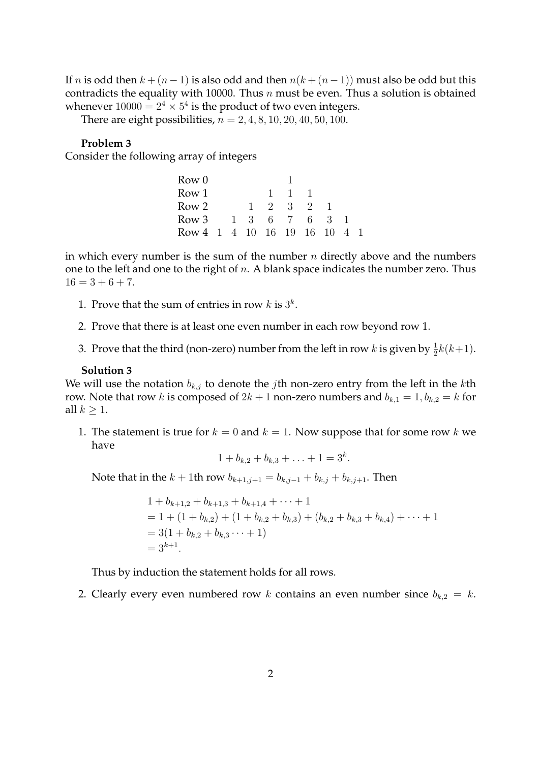If *n* is odd then  $k + (n - 1)$  is also odd and then  $n(k + (n - 1))$  must also be odd but this contradicts the equality with 10000. Thus  $n$  must be even. Thus a solution is obtained whenever  $10000 = 2^4 \times 5^4$  is the product of two even integers.

There are eight possibilities,  $n = 2, 4, 8, 10, 20, 40, 50, 100$ .

### **Problem 3**

Consider the following array of integers

| Row 0                      |  |    |              |        |     |    |  |
|----------------------------|--|----|--------------|--------|-----|----|--|
| Row 1                      |  |    | $\mathbf{L}$ | $\Box$ |     |    |  |
| Row 2                      |  | Т. | 2 3          |        | - 2 |    |  |
| Row 3 $1 \t3 \t6 \t7$      |  |    |              |        | -6  | -3 |  |
| Row 4 1 4 10 16 19 16 10 4 |  |    |              |        |     |    |  |

in which every number is the sum of the number  $n$  directly above and the numbers one to the left and one to the right of  $n$ . A blank space indicates the number zero. Thus  $16 = 3 + 6 + 7.$ 

- 1. Prove that the sum of entries in row  $k$  is  $3^k$ .
- 2. Prove that there is at least one even number in each row beyond row 1.
- 3. Prove that the third (non-zero) number from the left in row  $k$  is given by  $\frac{1}{2}k(k+1)$ .

### **Solution 3**

We will use the notation  $b_{k,j}$  to denote the *j*th non-zero entry from the left in the *k*th row. Note that row k is composed of  $2k + 1$  non-zero numbers and  $b_{k,1} = 1$ ,  $b_{k,2} = k$  for all  $k \geq 1$ .

1. The statement is true for  $k = 0$  and  $k = 1$ . Now suppose that for some row k we have

$$
1 + b_{k,2} + b_{k,3} + \ldots + 1 = 3^k.
$$

Note that in the  $k + 1$ th row  $b_{k+1,j+1} = b_{k,j-1} + b_{k,j} + b_{k,j+1}$ . Then

$$
1 + b_{k+1,2} + b_{k+1,3} + b_{k+1,4} + \cdots + 1
$$
  
= 1 + (1 + b\_{k,2}) + (1 + b\_{k,2} + b\_{k,3}) + (b\_{k,2} + b\_{k,3} + b\_{k,4}) + \cdots + 1  
= 3(1 + b\_{k,2} + b\_{k,3} + \cdots + 1)  
= 3^{k+1}.

Thus by induction the statement holds for all rows.

2. Clearly every even numbered row k contains an even number since  $b_{k,2} = k$ .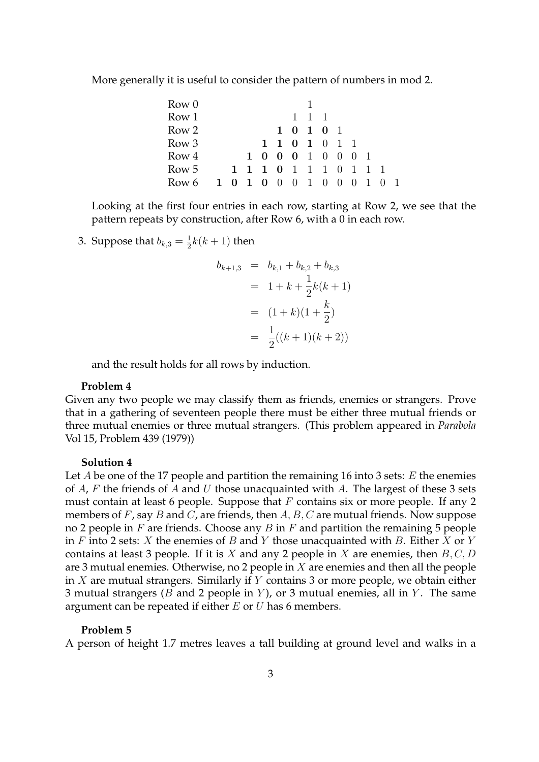More generally it is useful to consider the pattern of numbers in mod 2.

|  |  |  |  |                     |           |               |                   | - 1                                                    |
|--|--|--|--|---------------------|-----------|---------------|-------------------|--------------------------------------------------------|
|  |  |  |  | $1 \quad 1 \quad 1$ | 1 0 1 0 1 | 1 1 0 1 0 1 1 | 1 0 0 0 1 0 0 0 1 | 1 1 1 0 1 1 1 0 1 1 1<br>Row 6 1 0 1 0 0 0 1 0 0 0 1 0 |

Looking at the first four entries in each row, starting at Row 2, we see that the pattern repeats by construction, after Row 6, with a 0 in each row.

3. Suppose that  $b_{k,3} = \frac{1}{2}$  $\frac{1}{2}k(k+1)$  then

$$
b_{k+1,3} = b_{k,1} + b_{k,2} + b_{k,3}
$$
  
= 1 + k +  $\frac{1}{2}$ k(k + 1)  
= (1 + k)(1 +  $\frac{k}{2}$ )  
=  $\frac{1}{2}$ ((k + 1)(k + 2))

and the result holds for all rows by induction.

#### **Problem 4**

Given any two people we may classify them as friends, enemies or strangers. Prove that in a gathering of seventeen people there must be either three mutual friends or three mutual enemies or three mutual strangers. (This problem appeared in *Parabola* Vol 15, Problem 439 (1979))

#### **Solution 4**

Let A be one of the 17 people and partition the remaining 16 into 3 sets:  $E$  the enemies of  $A$ ,  $F$  the friends of  $A$  and  $U$  those unacquainted with  $A$ . The largest of these 3 sets must contain at least 6 people. Suppose that  $F$  contains six or more people. If any 2 members of  $F$ , say  $B$  and  $C$ , are friends, then  $A$ ,  $B$ ,  $C$  are mutual friends. Now suppose no 2 people in  $F$  are friends. Choose any  $B$  in  $F$  and partition the remaining 5 people in  $F$  into 2 sets:  $X$  the enemies of  $B$  and  $Y$  those unacquainted with  $B$ . Either  $X$  or  $Y$ contains at least 3 people. If it is X and any 2 people in X are enemies, then  $B, C, D$ are 3 mutual enemies. Otherwise, no 2 people in  $X$  are enemies and then all the people in  $X$  are mutual strangers. Similarly if  $Y$  contains 3 or more people, we obtain either 3 mutual strangers ( $B$  and 2 people in  $Y$ ), or 3 mutual enemies, all in  $Y$ . The same argument can be repeated if either  $E$  or  $U$  has 6 members.

#### **Problem 5**

A person of height 1.7 metres leaves a tall building at ground level and walks in a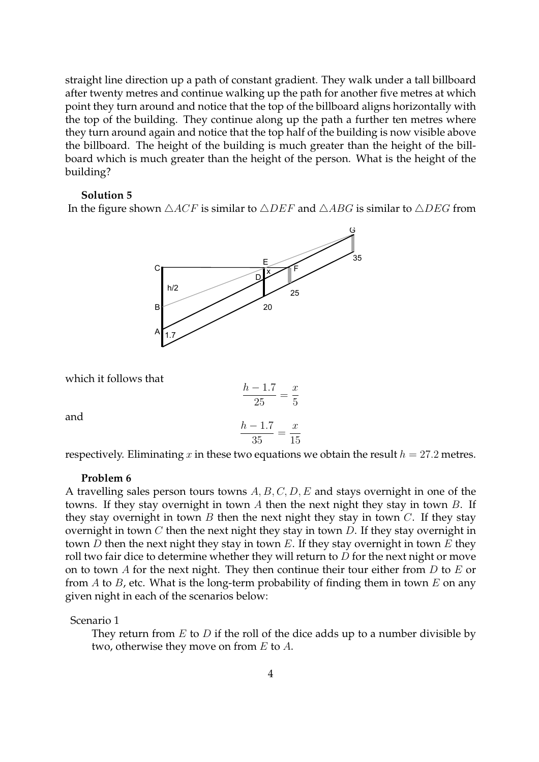straight line direction up a path of constant gradient. They walk under a tall billboard after twenty metres and continue walking up the path for another five metres at which point they turn around and notice that the top of the billboard aligns horizontally with the top of the building. They continue along up the path a further ten metres where they turn around again and notice that the top half of the building is now visible above the billboard. The height of the building is much greater than the height of the billboard which is much greater than the height of the person. What is the height of the building?

#### **Solution 5**

In the figure shown  $\triangle ACF$  is similar to  $\triangle DEF$  and  $\triangle ABC$  is similar to  $\triangle DEG$  from



which it follows that

$$
\frac{h - 1.7}{25} = \frac{x}{5}
$$

$$
\frac{h - 1.7}{35} = \frac{x}{15}
$$

and

respectively. Eliminating x in these two equations we obtain the result  $h = 27.2$  metres.

#### **Problem 6**

A travelling sales person tours towns  $A, B, C, D, E$  and stays overnight in one of the towns. If they stay overnight in town A then the next night they stay in town B. If they stay overnight in town  $B$  then the next night they stay in town  $C$ . If they stay overnight in town  $C$  then the next night they stay in town  $D$ . If they stay overnight in town  $D$  then the next night they stay in town  $E$ . If they stay overnight in town  $E$  they roll two fair dice to determine whether they will return to  $D$  for the next night or move on to town  $A$  for the next night. They then continue their tour either from  $D$  to  $E$  or from  $A$  to  $B$ , etc. What is the long-term probability of finding them in town  $E$  on any given night in each of the scenarios below:

Scenario 1

They return from  $E$  to  $D$  if the roll of the dice adds up to a number divisible by two, otherwise they move on from  $E$  to  $A$ .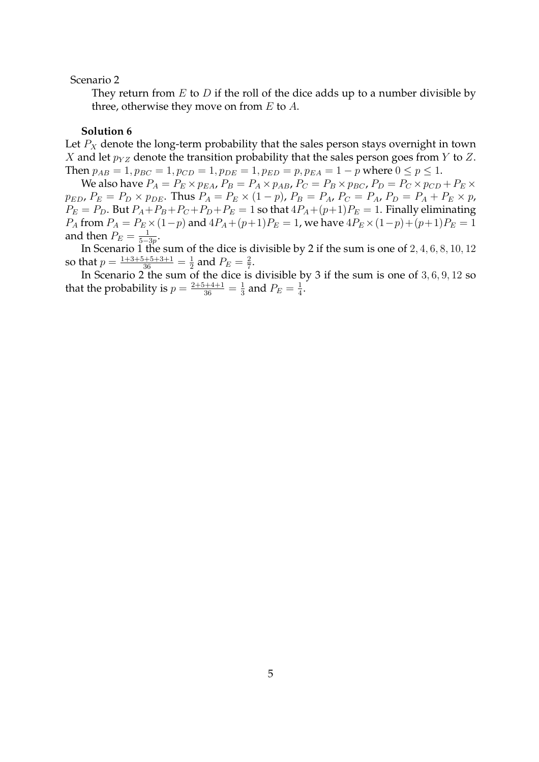Scenario 2

They return from  $E$  to  $D$  if the roll of the dice adds up to a number divisible by three, otherwise they move on from  $E$  to  $A$ .

#### **Solution 6**

Let  $P_X$  denote the long-term probability that the sales person stays overnight in town X and let  $p_{YZ}$  denote the transition probability that the sales person goes from Y to Z. Then  $p_{AB} = 1$ ,  $p_{BC} = 1$ ,  $p_{CD} = 1$ ,  $p_{DE} = 1$ ,  $p_{ED} = p$ ,  $p_{EA} = 1 - p$  where  $0 \le p \le 1$ .

We also have  $P_A = P_E \times p_{EA}$ ,  $P_B = P_A \times p_{AB}$ ,  $P_C = P_B \times p_{BC}$ ,  $P_D = P_C \times p_{CD} + P_E \times$  $p_{ED}$ ,  $P_E = P_D \times p_{DE}$ . Thus  $P_A = P_E \times (1-p)$ ,  $P_B = P_A$ ,  $P_C = P_A$ ,  $P_D = P_A + P_E \times p$ ,  $P_E = P_D$ . But  $P_A + P_B + P_C + P_D + P_E = 1$  so that  $4P_A + (p+1)P_E = 1$ . Finally eliminating  $P_A$  from  $P_A = P_E \times (1-p)$  and  $4P_A + (p+1)P_E = 1$ , we have  $4P_E \times (1-p) + (p+1)P_E = 1$ and then  $P_E = \frac{1}{5}$  $\frac{1}{5-3p}$ .

In Scenario 1 the sum of the dice is divisible by 2 if the sum is one of 2, 4, 6, 8, 10, 12 so that  $p = \frac{1+3+5+5+3+1}{36} = \frac{1}{2}$  $\frac{1}{2}$  and  $P_E = \frac{2}{7}$  $\frac{2}{7}$ .

In Scenario 2 the sum of the dice is divisible by 3 if the sum is one of  $3, 6, 9, 12$  so that the probability is  $p = \frac{2+5+4+1}{36} = \frac{1}{3}$  $\frac{1}{3}$  and  $P_E = \frac{1}{4}$  $\frac{1}{4}$ .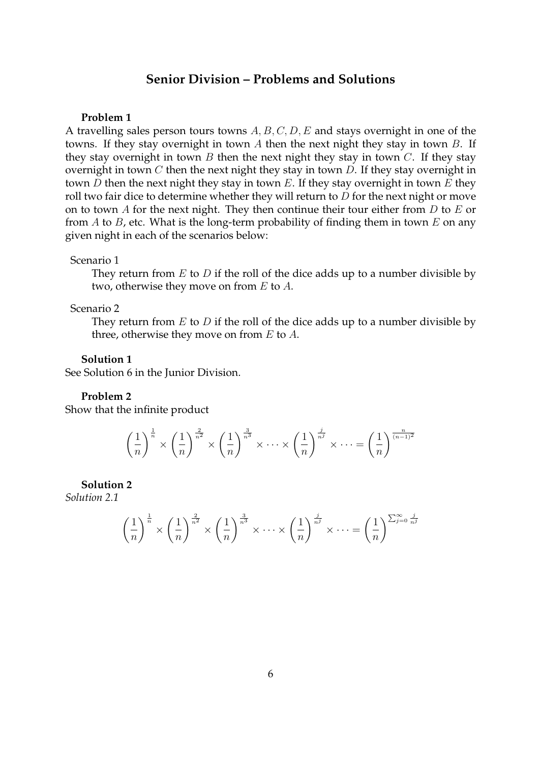# **Senior Division – Problems and Solutions**

#### **Problem 1**

A travelling sales person tours towns  $A, B, C, D, E$  and stays overnight in one of the towns. If they stay overnight in town A then the next night they stay in town B. If they stay overnight in town  $B$  then the next night they stay in town  $C$ . If they stay overnight in town  $C$  then the next night they stay in town  $D$ . If they stay overnight in town  $D$  then the next night they stay in town  $E$ . If they stay overnight in town  $E$  they roll two fair dice to determine whether they will return to  $D$  for the next night or move on to town  $A$  for the next night. They then continue their tour either from  $D$  to  $E$  or from  $A$  to  $B$ , etc. What is the long-term probability of finding them in town  $E$  on any given night in each of the scenarios below:

#### Scenario 1

They return from  $E$  to  $D$  if the roll of the dice adds up to a number divisible by two, otherwise they move on from E to A.

#### Scenario 2

They return from  $E$  to  $D$  if the roll of the dice adds up to a number divisible by three, otherwise they move on from  $E$  to  $A$ .

#### **Solution 1**

See Solution 6 in the Junior Division.

#### **Problem 2**

Show that the infinite product

$$
\left(\frac{1}{n}\right)^{\frac{1}{n}} \times \left(\frac{1}{n}\right)^{\frac{2}{n^2}} \times \left(\frac{1}{n}\right)^{\frac{3}{n^3}} \times \cdots \times \left(\frac{1}{n}\right)^{\frac{j}{n^j}} \times \cdots = \left(\frac{1}{n}\right)^{\frac{n}{(n-1)^2}}
$$

#### **Solution 2**

*Solution 2.1*

$$
\left(\frac{1}{n}\right)^{\frac{1}{n}} \times \left(\frac{1}{n}\right)^{\frac{2}{n^2}} \times \left(\frac{1}{n}\right)^{\frac{3}{n^3}} \times \cdots \times \left(\frac{1}{n}\right)^{\frac{j}{n^j}} \times \cdots = \left(\frac{1}{n}\right)^{\sum_{j=0}^{\infty} \frac{j}{n^j}}
$$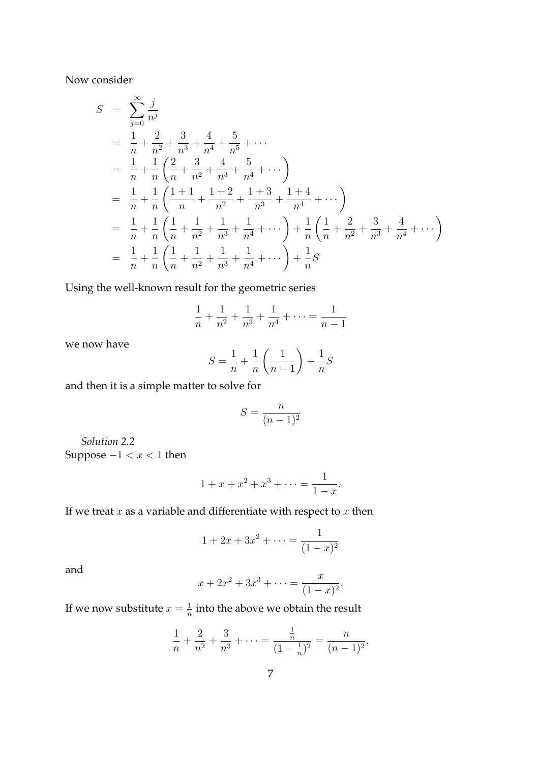Now consider

$$
S = \sum_{j=0}^{\infty} \frac{j}{n^j}
$$
  
\n
$$
= \frac{1}{n} + \frac{2}{n^2} + \frac{3}{n^3} + \frac{4}{n^4} + \frac{5}{n^5} + \cdots
$$
  
\n
$$
= \frac{1}{n} + \frac{1}{n} \left( \frac{2}{n} + \frac{3}{n^2} + \frac{4}{n^3} + \frac{5}{n^4} + \cdots \right)
$$
  
\n
$$
= \frac{1}{n} + \frac{1}{n} \left( \frac{1+1}{n} + \frac{1+2}{n^2} + \frac{1+3}{n^3} + \frac{1+4}{n^4} + \cdots \right)
$$
  
\n
$$
= \frac{1}{n} + \frac{1}{n} \left( \frac{1}{n} + \frac{1}{n^2} + \frac{1}{n^3} + \frac{1}{n^4} + \cdots \right) + \frac{1}{n} \left( \frac{1}{n} + \frac{2}{n^2} + \frac{3}{n^3} + \frac{4}{n^4} + \cdots \right)
$$
  
\n
$$
= \frac{1}{n} + \frac{1}{n} \left( \frac{1}{n} + \frac{1}{n^2} + \frac{1}{n^3} + \frac{1}{n^4} + \cdots \right) + \frac{1}{n} S
$$

Using the well-known result for the geometric series

$$
\frac{1}{n} + \frac{1}{n^2} + \frac{1}{n^3} + \frac{1}{n^4} + \dots = \frac{1}{n-1}
$$

we now have

$$
S = \frac{1}{n} + \frac{1}{n} \left( \frac{1}{n-1} \right) + \frac{1}{n} S
$$

and then it is a simple matter to solve for

$$
S = \frac{n}{(n-1)^2}
$$

*Solution 2.2* Suppose  $-1 < x < 1$  then

$$
1 + x + x^2 + x^3 + \dots = \frac{1}{1 - x}.
$$

If we treat  $\boldsymbol{x}$  as a variable and differentiate with respect to  $\boldsymbol{x}$  then

$$
1 + 2x + 3x^{2} + \dots = \frac{1}{(1 - x)^{2}}
$$

and

$$
x + 2x^{2} + 3x^{3} + \dots = \frac{x}{(1 - x)^{2}}.
$$

If we now substitute  $x=\frac{1}{n}$  $\frac{1}{n}$  into the above we obtain the result

$$
\frac{1}{n} + \frac{2}{n^2} + \frac{3}{n^3} + \dots = \frac{\frac{1}{n}}{(1 - \frac{1}{n})^2} = \frac{n}{(n-1)^2},
$$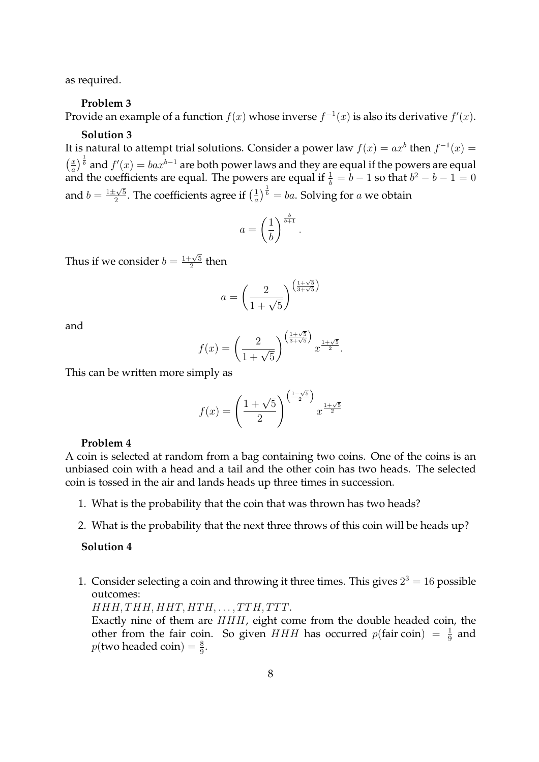as required.

#### **Problem 3**

Provide an example of a function  $f(x)$  whose inverse  $f^{-1}(x)$  is also its derivative  $f'(x)$ .

#### **Solution 3**

It is natural to attempt trial solutions. Consider a power law  $f(x) = ax^b$  then  $f^{-1}(x) =$  $\left(\frac{x}{a}\right)$  $\left(\frac{x}{a}\right)^{\frac{1}{b}}$  and  $f'(x)=bax^{b-1}$  are both power laws and they are equal if the powers are equal and the coefficients are equal. The powers are equal if  $\frac{1}{b} = b - 1$  so that  $b^2 - b - 1 = 0$ and  $b = \frac{1 \pm \sqrt{5}}{2}$  $\frac{1}{2} \times 5$ . The coefficients agree if  $\left(\frac{1}{a}\right)$  $\frac{1}{a}\big)^{\frac{1}{b}}=ba.$  Solving for  $a$  we obtain

$$
a = \left(\frac{1}{b}\right)^{\frac{b}{b+1}}.
$$

Thus if we consider  $b = \frac{1+\sqrt{5}}{2}$  $\frac{1}{2}^{\frac{1}{5}}$  then

$$
a = \left(\frac{2}{1+\sqrt{5}}\right)^{\left(\frac{1+\sqrt{5}}{3+\sqrt{5}}\right)}
$$

and

$$
f(x) = \left(\frac{2}{1+\sqrt{5}}\right)^{\left(\frac{1+\sqrt{5}}{3+\sqrt{5}}\right)} x^{\frac{1+\sqrt{5}}{2}}.
$$

This can be written more simply as

$$
f(x) = \left(\frac{1+\sqrt{5}}{2}\right)^{\left(\frac{1-\sqrt{5}}{2}\right)} x^{\frac{1+\sqrt{5}}{2}}
$$

#### **Problem 4**

A coin is selected at random from a bag containing two coins. One of the coins is an unbiased coin with a head and a tail and the other coin has two heads. The selected coin is tossed in the air and lands heads up three times in succession.

- 1. What is the probability that the coin that was thrown has two heads?
- 2. What is the probability that the next three throws of this coin will be heads up?

#### **Solution 4**

1. Consider selecting a coin and throwing it three times. This gives  $2^3 = 16$  possible outcomes:

 $HHH, THH, HHT, HTH, \ldots, TTH, TTT.$ 

Exactly nine of them are HHH, eight come from the double headed coin, the other from the fair coin. So given  $HHH$  has occurred  $p(\text{fair coin}) = \frac{1}{9}$  and  $p(\text{two headed coin}) = \frac{8}{9}.$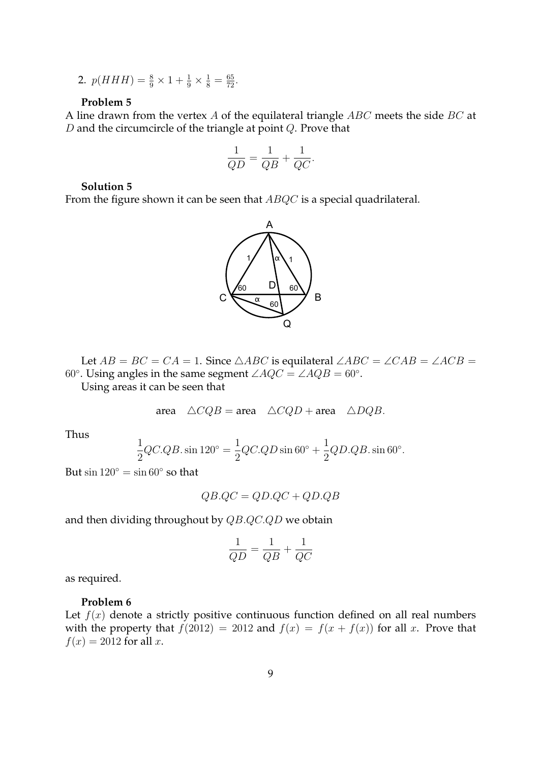2.  $p(HHH) = \frac{8}{9} \times 1 + \frac{1}{9} \times \frac{1}{8} = \frac{65}{72}$ .

#### **Problem 5**

A line drawn from the vertex  $A$  of the equilateral triangle  $ABC$  meets the side  $BC$  at  $D$  and the circumcircle of the triangle at point  $Q$ . Prove that

$$
\frac{1}{QD} = \frac{1}{QB} + \frac{1}{QC}.
$$

## **Solution 5**

From the figure shown it can be seen that  $ABQC$  is a special quadrilateral.



Let  $AB = BC = CA = 1$ . Since  $\triangle ABC$  is equilateral  $\angle ABC = \angle CAB = \angle ACB = \angle ACB$ 60°. Using angles in the same segment  $\angle AQC = \angle AQB = 60^\circ$ .

Using areas it can be seen that

area  $\triangle CQB = \text{area} \triangle CQD + \text{area} \triangle DQB$ .

Thus

$$
\frac{1}{2}QC.QB.\sin 120^\circ = \frac{1}{2}QC.QD\sin 60^\circ + \frac{1}{2}QD.QB.\sin 60^\circ.
$$

But  $\sin 120^\circ = \sin 60^\circ$  so that

$$
QB.QC=QD.QC+QD.QB
$$

and then dividing throughout by QB.QC.QD we obtain

$$
\frac{1}{QD}=\frac{1}{QB}+\frac{1}{QC}
$$

as required.

#### **Problem 6**

Let  $f(x)$  denote a strictly positive continuous function defined on all real numbers with the property that  $f(2012) = 2012$  and  $f(x) = f(x + f(x))$  for all x. Prove that  $f(x) = 2012$  for all x.